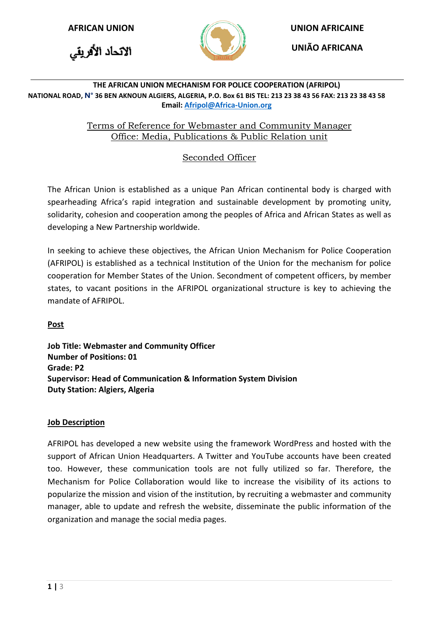



**AFRICAN UNION UNION AFRICAINE**

**UNIÃO AFRICANA**

#### **THE AFRICAN UNION MECHANISM FOR POLICE COOPERATION (AFRIPOL) NATIONAL ROAD, N° 36 BEN AKNOUN ALGIERS, ALGERIA, P.O. Box 61 BIS TEL: 213 23 38 43 56 FAX: 213 23 38 43 58 Email[: Afripol@Africa-Union.org](mailto:Afripol@Africa-Union.org)**

### Terms of Reference for Webmaster and Community Manager Office: Media, Publications & Public Relation unit

# Seconded Officer

The African Union is established as a unique Pan African continental body is charged with spearheading Africa's rapid integration and sustainable development by promoting unity, solidarity, cohesion and cooperation among the peoples of Africa and African States as well as developing a New Partnership worldwide.

In seeking to achieve these objectives, the African Union Mechanism for Police Cooperation (AFRIPOL) is established as a technical Institution of the Union for the mechanism for police cooperation for Member States of the Union. Secondment of competent officers, by member states, to vacant positions in the AFRIPOL organizational structure is key to achieving the mandate of AFRIPOL.

## **Post**

**Job Title: Webmaster and Community Officer Number of Positions: 01 Grade: P2 Supervisor: Head of Communication & Information System Division Duty Station: Algiers, Algeria** 

#### **Job Description**

AFRIPOL has developed a new website using the framework WordPress and hosted with the support of African Union Headquarters. A Twitter and YouTube accounts have been created too. However, these communication tools are not fully utilized so far. Therefore, the Mechanism for Police Collaboration would like to increase the visibility of its actions to popularize the mission and vision of the institution, by recruiting a webmaster and community manager, able to update and refresh the website, disseminate the public information of the organization and manage the social media pages.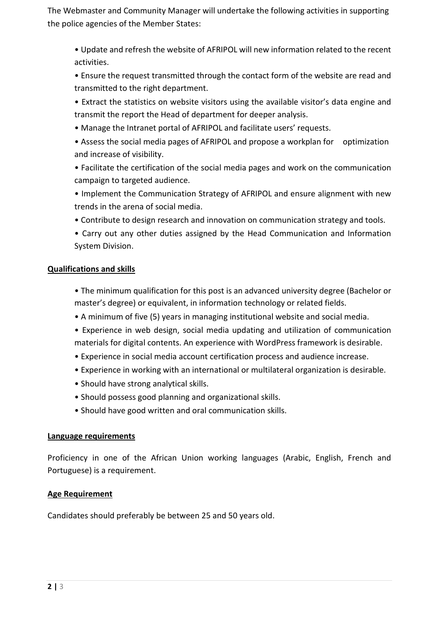The Webmaster and Community Manager will undertake the following activities in supporting the police agencies of the Member States:

• Update and refresh the website of AFRIPOL will new information related to the recent activities.

• Ensure the request transmitted through the contact form of the website are read and transmitted to the right department.

- Extract the statistics on website visitors using the available visitor's data engine and transmit the report the Head of department for deeper analysis.
- Manage the Intranet portal of AFRIPOL and facilitate users' requests.
- Assess the social media pages of AFRIPOL and propose a workplan for optimization and increase of visibility.
- Facilitate the certification of the social media pages and work on the communication campaign to targeted audience.
- Implement the Communication Strategy of AFRIPOL and ensure alignment with new trends in the arena of social media.
- Contribute to design research and innovation on communication strategy and tools.
- Carry out any other duties assigned by the Head Communication and Information System Division.

## **Qualifications and skills**

- The minimum qualification for this post is an advanced university degree (Bachelor or master's degree) or equivalent, in information technology or related fields.
- A minimum of five (5) years in managing institutional website and social media.
- Experience in web design, social media updating and utilization of communication materials for digital contents. An experience with WordPress framework is desirable.
- Experience in social media account certification process and audience increase.
- Experience in working with an international or multilateral organization is desirable.
- Should have strong analytical skills.
- Should possess good planning and organizational skills.
- Should have good written and oral communication skills.

## **Language requirements**

Proficiency in one of the African Union working languages (Arabic, English, French and Portuguese) is a requirement.

## **Age Requirement**

Candidates should preferably be between 25 and 50 years old.